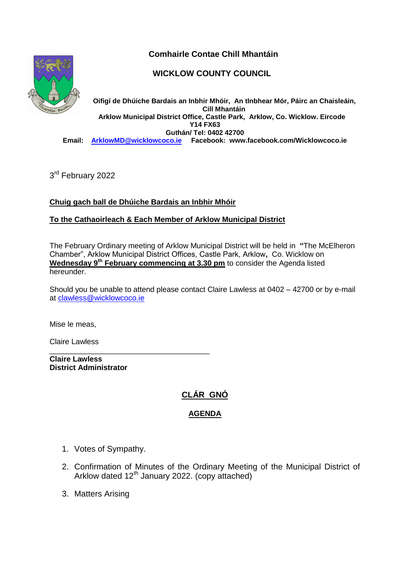



## **WICKLOW COUNTY COUNCIL**

**Oifigí de Dhúiche Bardais an Inbhir Mhóir, An tInbhear Mór, Páirc an Chaisleáin, Cill Mhantáin Arklow Municipal District Office, Castle Park, Arklow, Co. Wicklow. Eircode Y14 FX63 Guthán/ Tel: 0402 42700 Email: [ArklowMD@wicklowcoco.ie](mailto:ArklowMD@wicklowcoco.ie) Facebook: www.facebook.com/Wicklowcoco.ie**

3<sup>rd</sup> February 2022

### **Chuig gach ball de Dhúiche Bardais an Inbhir Mhóir**

#### **To the Cathaoirleach & Each Member of Arklow Municipal District**

The February Ordinary meeting of Arklow Municipal District will be held in **"**The McElheron Chamber", Arklow Municipal District Offices, Castle Park, Arklow**,** Co. Wicklow on **Wednesday 9<sup>th</sup> February commencing at 3.30 pm** to consider the Agenda listed hereunder.

Should you be unable to attend please contact Claire Lawless at 0402 – 42700 or by e-mail at [clawless@wicklowcoco.ie](mailto:clawless@wicklowcoco.ie)

Mise le meas,

Claire Lawless

\_\_\_\_\_\_\_\_\_\_\_\_\_\_\_\_\_\_\_\_\_\_\_\_\_\_\_\_\_\_\_\_\_\_\_\_\_\_ **Claire Lawless District Administrator** 

# **CLÁR GNÓ**

#### **AGENDA**

- 1. Votes of Sympathy.
- 2. Confirmation of Minutes of the Ordinary Meeting of the Municipal District of Arklow dated  $12<sup>th</sup>$  January 2022. (copy attached)
- 3. Matters Arising